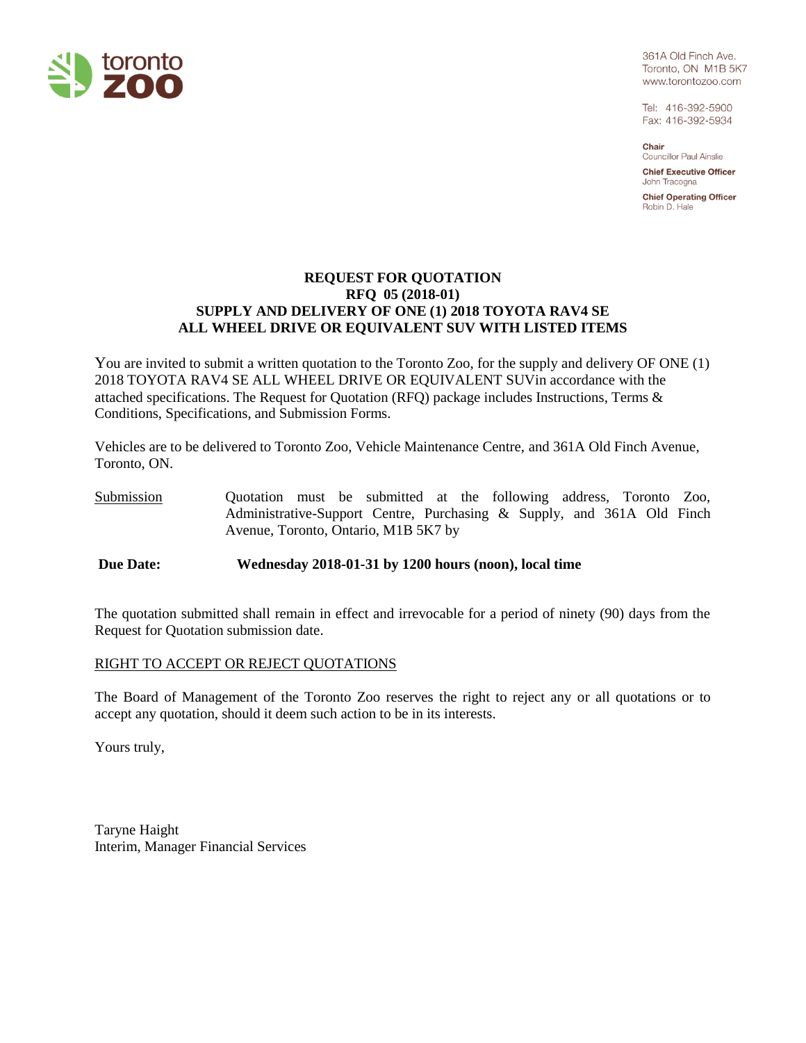

361A Old Finch Ave. Toronto, ON M1B 5K7 www.torontozoo.com

Tel: 416-392-5900 Fax: 416-392-5934

Chair **Councillor Paul Ainslie** 

**Chief Executive Officer** John Tracogna

**Chief Operating Officer** Robin D. Hale

# **REQUEST FOR QUOTATION RFQ 05 (2018-01) SUPPLY AND DELIVERY OF ONE (1) 2018 TOYOTA RAV4 SE ALL WHEEL DRIVE OR EQUIVALENT SUV WITH LISTED ITEMS**

You are invited to submit a written quotation to the Toronto Zoo, for the supply and delivery OF ONE (1) 2018 TOYOTA RAV4 SE ALL WHEEL DRIVE OR EQUIVALENT SUVin accordance with the attached specifications. The Request for Quotation (RFQ) package includes Instructions, Terms & Conditions, Specifications, and Submission Forms.

Vehicles are to be delivered to Toronto Zoo, Vehicle Maintenance Centre, and 361A Old Finch Avenue, Toronto, ON.

Submission Quotation must be submitted at the following address, Toronto Zoo, Administrative-Support Centre, Purchasing & Supply, and 361A Old Finch Avenue, Toronto, Ontario, M1B 5K7 by

**Due Date: Wednesday 2018-01-31 by 1200 hours (noon), local time**

The quotation submitted shall remain in effect and irrevocable for a period of ninety (90) days from the Request for Quotation submission date.

#### RIGHT TO ACCEPT OR REJECT QUOTATIONS

The Board of Management of the Toronto Zoo reserves the right to reject any or all quotations or to accept any quotation, should it deem such action to be in its interests.

Yours truly,

Taryne Haight Interim, Manager Financial Services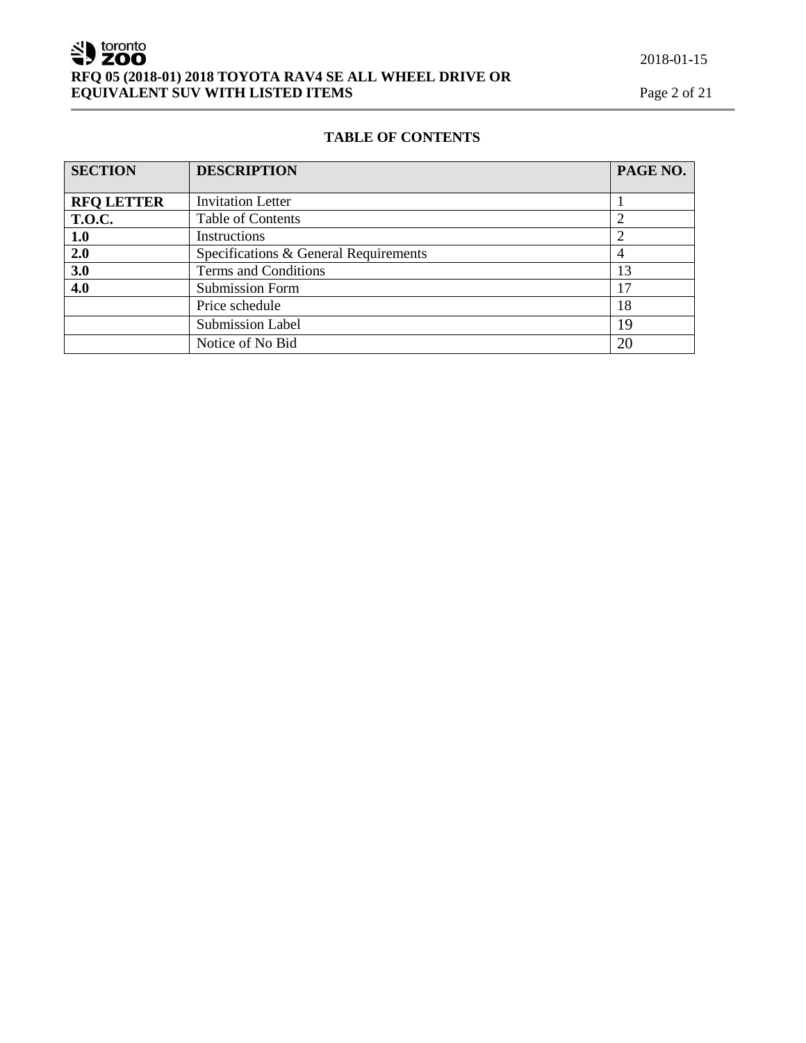# 2018-01-15

# SU toronto **RFQ 05 (2018-01) 2018 TOYOTA RAV4 SE ALL WHEEL DRIVE OR EQUIVALENT SUV WITH LISTED ITEMS** Page 2 of 21

# **TABLE OF CONTENTS**

| <b>SECTION</b>    | <b>DESCRIPTION</b>                    | PAGE NO. |
|-------------------|---------------------------------------|----------|
|                   |                                       |          |
| <b>RFQ LETTER</b> | <b>Invitation Letter</b>              |          |
| <b>T.O.C.</b>     | <b>Table of Contents</b>              |          |
| 1.0               | Instructions                          |          |
| 2.0               | Specifications & General Requirements | 4        |
| 3.0               | Terms and Conditions                  | 13       |
| 4.0               | <b>Submission Form</b>                | 17       |
|                   | Price schedule                        | 18       |
|                   | <b>Submission Label</b>               | 19       |
|                   | Notice of No Bid                      | 20       |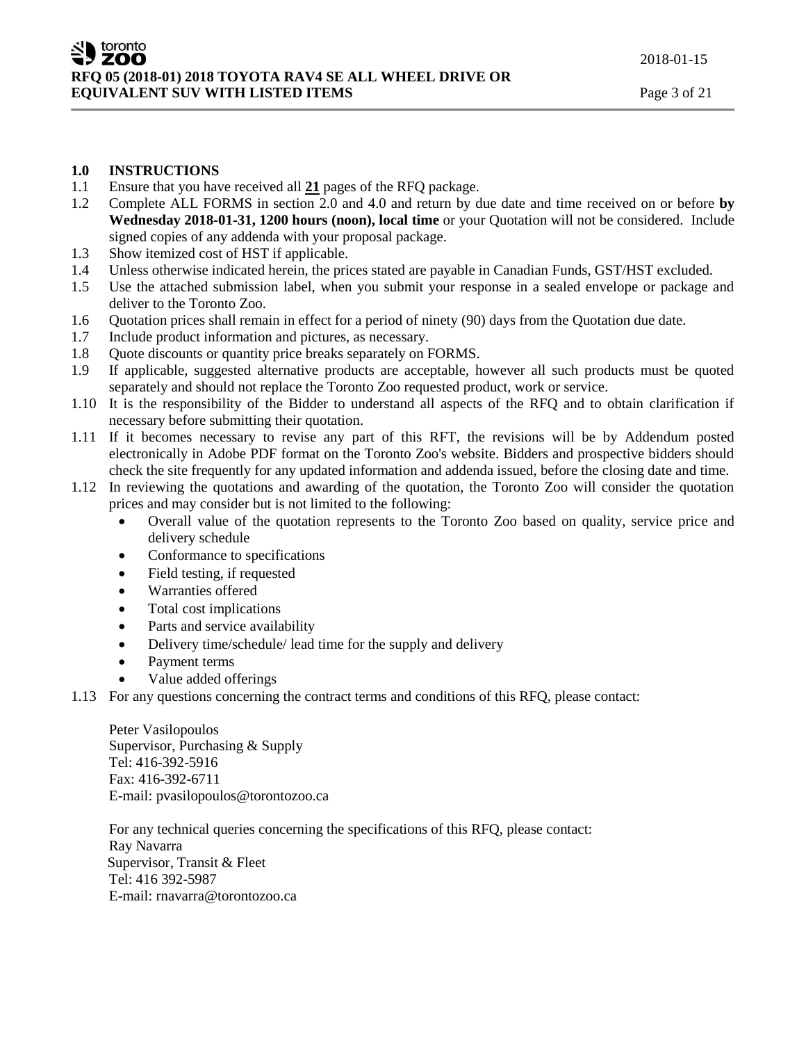#### **1.0 INSTRUCTIONS**

- 1.1 Ensure that you have received all **21** pages of the RFQ package.
- 1.2 Complete ALL FORMS in section 2.0 and 4.0 and return by due date and time received on or before **by Wednesday 2018-01-31, 1200 hours (noon), local time** or your Quotation will not be considered. Include signed copies of any addenda with your proposal package.
- 1.3 Show itemized cost of HST if applicable.
- 1.4 Unless otherwise indicated herein, the prices stated are payable in Canadian Funds, GST/HST excluded.
- 1.5 Use the attached submission label, when you submit your response in a sealed envelope or package and deliver to the Toronto Zoo.
- 1.6 Quotation prices shall remain in effect for a period of ninety (90) days from the Quotation due date.
- 1.7 Include product information and pictures, as necessary.
- 1.8 Quote discounts or quantity price breaks separately on FORMS.
- 1.9 If applicable, suggested alternative products are acceptable, however all such products must be quoted separately and should not replace the Toronto Zoo requested product, work or service.
- 1.10 It is the responsibility of the Bidder to understand all aspects of the RFQ and to obtain clarification if necessary before submitting their quotation.
- 1.11 If it becomes necessary to revise any part of this RFT, the revisions will be by Addendum posted electronically in Adobe PDF format on the Toronto Zoo's website. Bidders and prospective bidders should check the site frequently for any updated information and addenda issued, before the closing date and time.
- 1.12 In reviewing the quotations and awarding of the quotation, the Toronto Zoo will consider the quotation prices and may consider but is not limited to the following:
	- Overall value of the quotation represents to the Toronto Zoo based on quality, service price and delivery schedule
	- Conformance to specifications
	- Field testing, if requested
	- Warranties offered
	- Total cost implications
	- Parts and service availability
	- Delivery time/schedule/ lead time for the supply and delivery
	- Payment terms
	- Value added offerings
- 1.13 For any questions concerning the contract terms and conditions of this RFQ, please contact:

Peter Vasilopoulos Supervisor, Purchasing & Supply Tel: 416-392-5916 Fax: 416-392-6711 E-mail: pvasilopoulos@torontozoo.ca

For any technical queries concerning the specifications of this RFQ, please contact: Ray Navarra Supervisor, Transit & Fleet Tel: 416 392-5987 E-mail: rnavarra@torontozoo.ca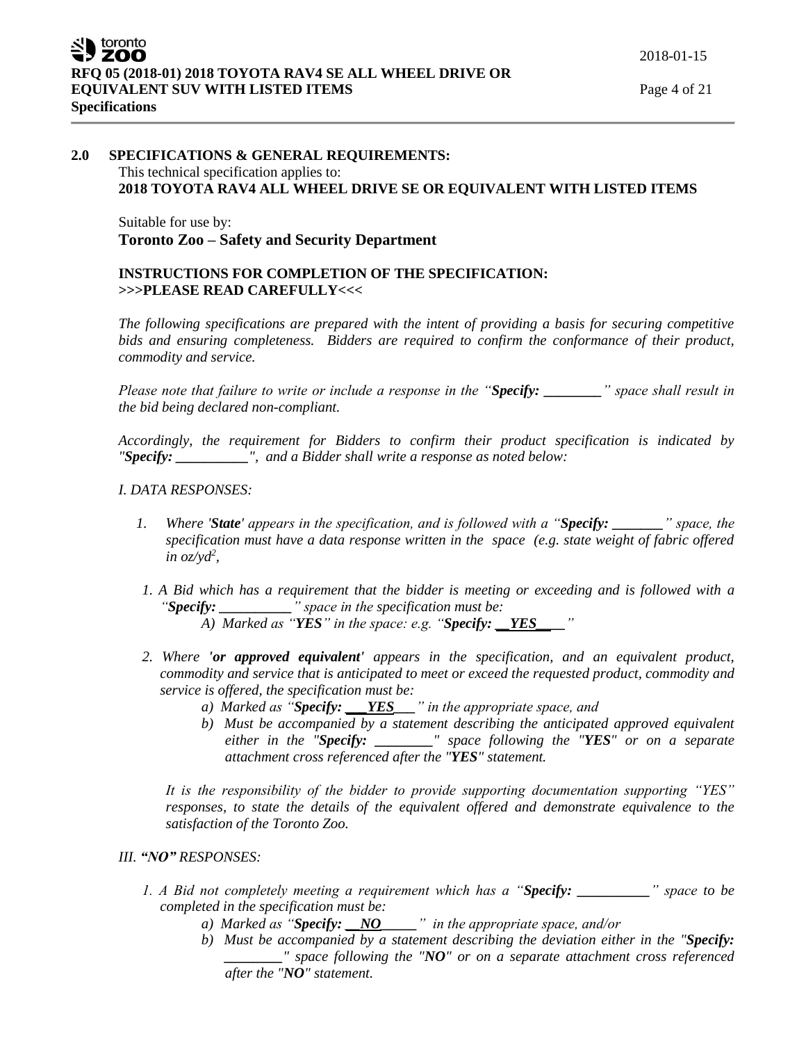# **2.0 SPECIFICATIONS & GENERAL REQUIREMENTS:** This technical specification applies to: **2018 TOYOTA RAV4 ALL WHEEL DRIVE SE OR EQUIVALENT WITH LISTED ITEMS**

Suitable for use by: **Toronto Zoo – Safety and Security Department**

# **INSTRUCTIONS FOR COMPLETION OF THE SPECIFICATION: >>>PLEASE READ CAREFULLY<<<**

*The following specifications are prepared with the intent of providing a basis for securing competitive bids and ensuring completeness. Bidders are required to confirm the conformance of their product, commodity and service.*

*Please note that failure to write or include a response in the "Specify: \_\_\_\_\_\_\_\_" space shall result in the bid being declared non-compliant.*

*Accordingly, the requirement for Bidders to confirm their product specification is indicated by "Specify: \_\_\_\_\_\_\_\_\_\_", and a Bidder shall write a response as noted below:* 

#### *I. DATA RESPONSES:*

- *1. Where 'State' appears in the specification, and is followed with a "Specify: \_\_\_\_\_\_\_" space, the specification must have a data response written in the space (e.g. state weight of fabric offered in oz/yd<sup>2</sup> ,*
- *1. A Bid which has a requirement that the bidder is meeting or exceeding and is followed with a "Specify: \_\_\_\_\_\_\_\_\_\_" space in the specification must be:*

*A) Marked as "YES" in the space: e.g. "Specify: \_\_YES\_\_\_\_"* 

- *2. Where 'or approved equivalent' appears in the specification, and an equivalent product, commodity and service that is anticipated to meet or exceed the requested product, commodity and service is offered, the specification must be:*
	- *a) Marked as "Specify: \_\_\_YES\_\_\_" in the appropriate space, and*
	- *b) Must be accompanied by a statement describing the anticipated approved equivalent either in the "Specify: \_\_\_\_\_\_\_\_" space following the "YES" or on a separate attachment cross referenced after the "YES" statement.*

*It is the responsibility of the bidder to provide supporting documentation supporting "YES" responses, to state the details of the equivalent offered and demonstrate equivalence to the satisfaction of the Toronto Zoo.* 

# *III. "NO" RESPONSES:*

- *1. A Bid not completely meeting a requirement which has a "Specify: \_\_\_\_\_\_\_\_\_\_" space to be completed in the specification must be:*
	- *a) Marked as "Specify: \_\_NO\_\_\_\_\_" in the appropriate space, and/or*
	- *b) Must be accompanied by a statement describing the deviation either in the "Specify: \_\_\_\_\_\_\_\_" space following the "NO" or on a separate attachment cross referenced after the "NO" statement.*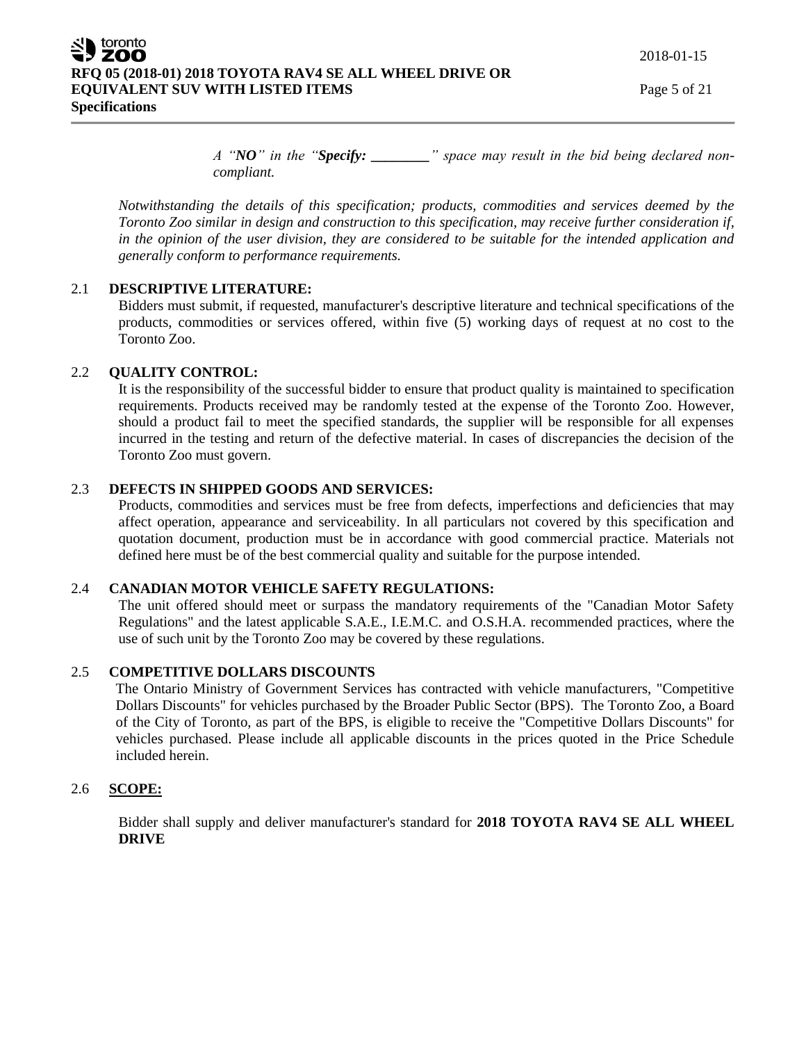*A "NO" in the "Specify: \_\_\_\_\_\_\_\_" space may result in the bid being declared noncompliant.* 

*Notwithstanding the details of this specification; products, commodities and services deemed by the Toronto Zoo similar in design and construction to this specification, may receive further consideration if, in the opinion of the user division, they are considered to be suitable for the intended application and generally conform to performance requirements.*

# 2.1 **DESCRIPTIVE LITERATURE:**

Bidders must submit, if requested, manufacturer's descriptive literature and technical specifications of the products, commodities or services offered, within five (5) working days of request at no cost to the Toronto Zoo.

#### 2.2 **QUALITY CONTROL:**

It is the responsibility of the successful bidder to ensure that product quality is maintained to specification requirements. Products received may be randomly tested at the expense of the Toronto Zoo. However, should a product fail to meet the specified standards, the supplier will be responsible for all expenses incurred in the testing and return of the defective material. In cases of discrepancies the decision of the Toronto Zoo must govern.

# 2.3 **DEFECTS IN SHIPPED GOODS AND SERVICES:**

Products, commodities and services must be free from defects, imperfections and deficiencies that may affect operation, appearance and serviceability. In all particulars not covered by this specification and quotation document, production must be in accordance with good commercial practice. Materials not defined here must be of the best commercial quality and suitable for the purpose intended.

#### 2.4 **CANADIAN MOTOR VEHICLE SAFETY REGULATIONS:**

The unit offered should meet or surpass the mandatory requirements of the "Canadian Motor Safety Regulations" and the latest applicable S.A.E., I.E.M.C. and O.S.H.A. recommended practices, where the use of such unit by the Toronto Zoo may be covered by these regulations.

# 2.5 **COMPETITIVE DOLLARS DISCOUNTS**

The Ontario Ministry of Government Services has contracted with vehicle manufacturers, "Competitive Dollars Discounts" for vehicles purchased by the Broader Public Sector (BPS). The Toronto Zoo, a Board of the City of Toronto, as part of the BPS, is eligible to receive the "Competitive Dollars Discounts" for vehicles purchased. Please include all applicable discounts in the prices quoted in the Price Schedule included herein.

# 2.6 **SCOPE:**

Bidder shall supply and deliver manufacturer's standard for **2018 TOYOTA RAV4 SE ALL WHEEL DRIVE**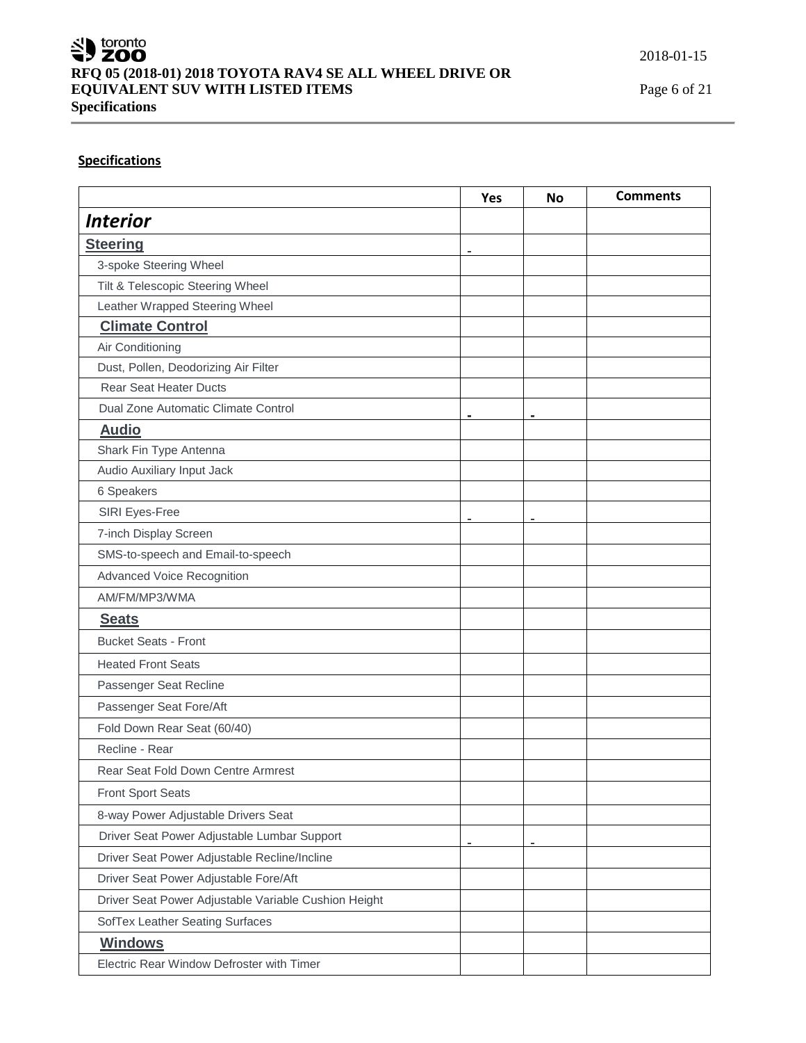

# **Specifications**

|                                                      | <b>Yes</b> | <b>No</b> | <b>Comments</b> |
|------------------------------------------------------|------------|-----------|-----------------|
| <b>Interior</b>                                      |            |           |                 |
| <b>Steering</b>                                      |            |           |                 |
| 3-spoke Steering Wheel                               |            |           |                 |
| Tilt & Telescopic Steering Wheel                     |            |           |                 |
| Leather Wrapped Steering Wheel                       |            |           |                 |
| <b>Climate Control</b>                               |            |           |                 |
| Air Conditioning                                     |            |           |                 |
| Dust, Pollen, Deodorizing Air Filter                 |            |           |                 |
| <b>Rear Seat Heater Ducts</b>                        |            |           |                 |
| Dual Zone Automatic Climate Control                  | ۰          |           |                 |
| <b>Audio</b>                                         |            |           |                 |
| Shark Fin Type Antenna                               |            |           |                 |
| Audio Auxiliary Input Jack                           |            |           |                 |
| 6 Speakers                                           |            |           |                 |
| SIRI Eyes-Free                                       |            |           |                 |
| 7-inch Display Screen                                |            |           |                 |
| SMS-to-speech and Email-to-speech                    |            |           |                 |
| Advanced Voice Recognition                           |            |           |                 |
| AM/FM/MP3/WMA                                        |            |           |                 |
| <b>Seats</b>                                         |            |           |                 |
| <b>Bucket Seats - Front</b>                          |            |           |                 |
| <b>Heated Front Seats</b>                            |            |           |                 |
| Passenger Seat Recline                               |            |           |                 |
| Passenger Seat Fore/Aft                              |            |           |                 |
| Fold Down Rear Seat (60/40)                          |            |           |                 |
| Recline - Rear                                       |            |           |                 |
| Rear Seat Fold Down Centre Armrest                   |            |           |                 |
| <b>Front Sport Seats</b>                             |            |           |                 |
| 8-way Power Adjustable Drivers Seat                  |            |           |                 |
| Driver Seat Power Adjustable Lumbar Support          |            |           |                 |
| Driver Seat Power Adjustable Recline/Incline         |            |           |                 |
| Driver Seat Power Adjustable Fore/Aft                |            |           |                 |
| Driver Seat Power Adjustable Variable Cushion Height |            |           |                 |
| SofTex Leather Seating Surfaces                      |            |           |                 |
| <b>Windows</b>                                       |            |           |                 |
| Electric Rear Window Defroster with Timer            |            |           |                 |
|                                                      |            |           |                 |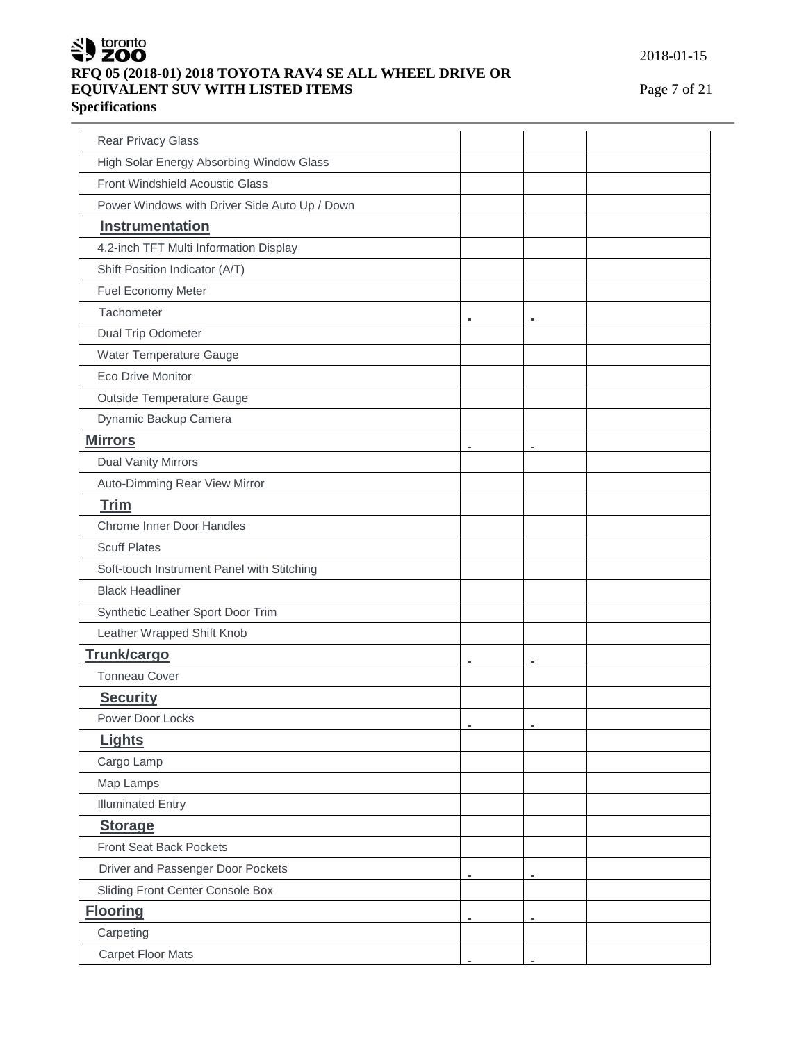

# **RFQ 05 (2018-01) 2018 TOYOTA RAV4 SE ALL WHEEL DRIVE OR EQUIVALENT SUV WITH LISTED ITEMS** Page 7 of 21

**Specifications**

| <b>Rear Privacy Glass</b>                     |                |   |  |
|-----------------------------------------------|----------------|---|--|
| High Solar Energy Absorbing Window Glass      |                |   |  |
| Front Windshield Acoustic Glass               |                |   |  |
| Power Windows with Driver Side Auto Up / Down |                |   |  |
| Instrumentation                               |                |   |  |
| 4.2-inch TFT Multi Information Display        |                |   |  |
| Shift Position Indicator (A/T)                |                |   |  |
| Fuel Economy Meter                            |                |   |  |
| Tachometer                                    |                |   |  |
| Dual Trip Odometer                            |                |   |  |
| Water Temperature Gauge                       |                |   |  |
| Eco Drive Monitor                             |                |   |  |
| Outside Temperature Gauge                     |                |   |  |
| Dynamic Backup Camera                         |                |   |  |
| <b>Mirrors</b>                                | $\blacksquare$ |   |  |
| <b>Dual Vanity Mirrors</b>                    |                |   |  |
| Auto-Dimming Rear View Mirror                 |                |   |  |
| <b>Trim</b>                                   |                |   |  |
| <b>Chrome Inner Door Handles</b>              |                |   |  |
| <b>Scuff Plates</b>                           |                |   |  |
| Soft-touch Instrument Panel with Stitching    |                |   |  |
| <b>Black Headliner</b>                        |                |   |  |
| Synthetic Leather Sport Door Trim             |                |   |  |
| Leather Wrapped Shift Knob                    |                |   |  |
| <b>Trunk/cargo</b>                            |                |   |  |
| <b>Tonneau Cover</b>                          |                |   |  |
| <b>Security</b>                               |                |   |  |
| Power Door Locks                              |                |   |  |
| Lights                                        |                |   |  |
| Cargo Lamp                                    |                |   |  |
| Map Lamps                                     |                |   |  |
| <b>Illuminated Entry</b>                      |                |   |  |
| <b>Storage</b>                                |                |   |  |
| <b>Front Seat Back Pockets</b>                |                |   |  |
| Driver and Passenger Door Pockets             |                |   |  |
| Sliding Front Center Console Box              |                |   |  |
| <b>Flooring</b>                               | $\blacksquare$ | ÷ |  |
| Carpeting                                     |                |   |  |
| <b>Carpet Floor Mats</b>                      |                |   |  |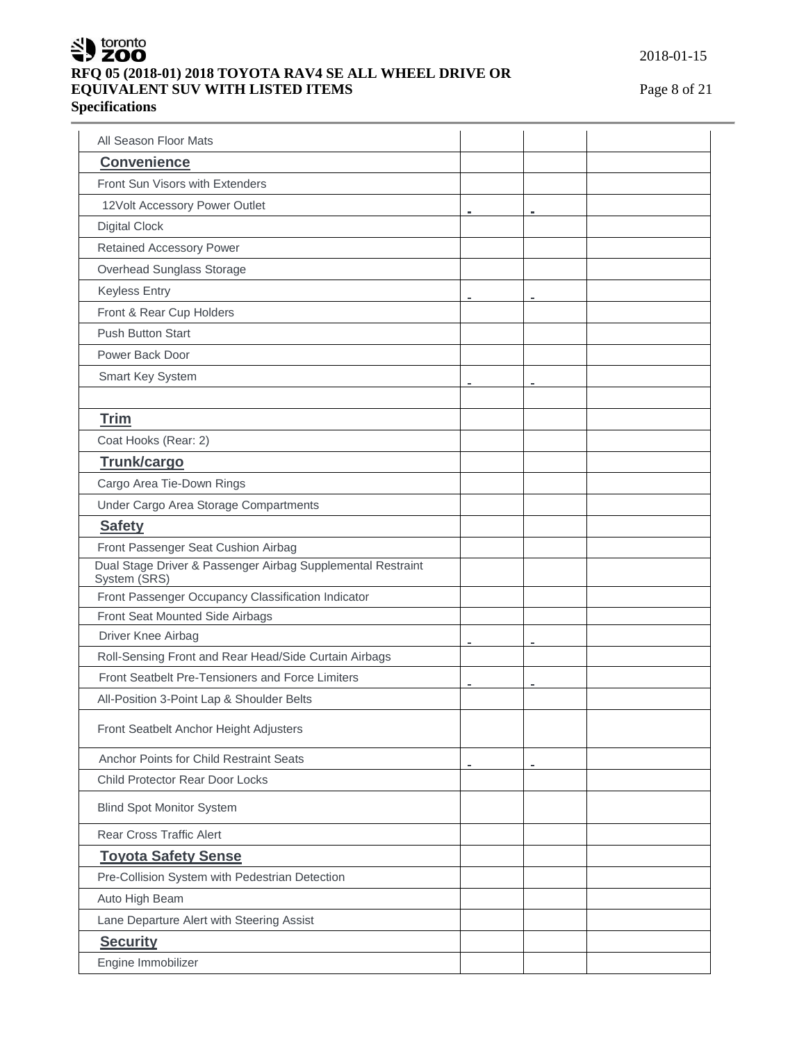

# **RFQ 05 (2018-01) 2018 TOYOTA RAV4 SE ALL WHEEL DRIVE OR EQUIVALENT SUV WITH LISTED ITEMS** Page 8 of 21 **Specifications**

2018-01-15

| All Season Floor Mats                                                       |   |  |
|-----------------------------------------------------------------------------|---|--|
| <b>Convenience</b>                                                          |   |  |
| Front Sun Visors with Extenders                                             |   |  |
| 12Volt Accessory Power Outlet                                               |   |  |
| <b>Digital Clock</b>                                                        |   |  |
| <b>Retained Accessory Power</b>                                             |   |  |
| Overhead Sunglass Storage                                                   |   |  |
| <b>Keyless Entry</b>                                                        |   |  |
| Front & Rear Cup Holders                                                    |   |  |
| <b>Push Button Start</b>                                                    |   |  |
| Power Back Door                                                             |   |  |
| Smart Key System                                                            |   |  |
|                                                                             |   |  |
| <b>Trim</b>                                                                 |   |  |
| Coat Hooks (Rear: 2)                                                        |   |  |
| Trunk/cargo                                                                 |   |  |
| Cargo Area Tie-Down Rings                                                   |   |  |
| Under Cargo Area Storage Compartments                                       |   |  |
| <b>Safety</b>                                                               |   |  |
| Front Passenger Seat Cushion Airbag                                         |   |  |
| Dual Stage Driver & Passenger Airbag Supplemental Restraint<br>System (SRS) |   |  |
| Front Passenger Occupancy Classification Indicator                          |   |  |
| Front Seat Mounted Side Airbags                                             |   |  |
| Driver Knee Airbag                                                          | ۰ |  |
| Roll-Sensing Front and Rear Head/Side Curtain Airbags                       |   |  |
| Front Seatbelt Pre-Tensioners and Force Limiters                            |   |  |
| All-Position 3-Point Lap & Shoulder Belts                                   |   |  |
| Front Seatbelt Anchor Height Adjusters                                      |   |  |
| Anchor Points for Child Restraint Seats                                     |   |  |
| Child Protector Rear Door Locks                                             |   |  |
| <b>Blind Spot Monitor System</b>                                            |   |  |
| <b>Rear Cross Traffic Alert</b>                                             |   |  |
| <b>Toyota Safety Sense</b>                                                  |   |  |
| Pre-Collision System with Pedestrian Detection                              |   |  |
| Auto High Beam                                                              |   |  |
| Lane Departure Alert with Steering Assist                                   |   |  |
| <b>Security</b>                                                             |   |  |
| Engine Immobilizer                                                          |   |  |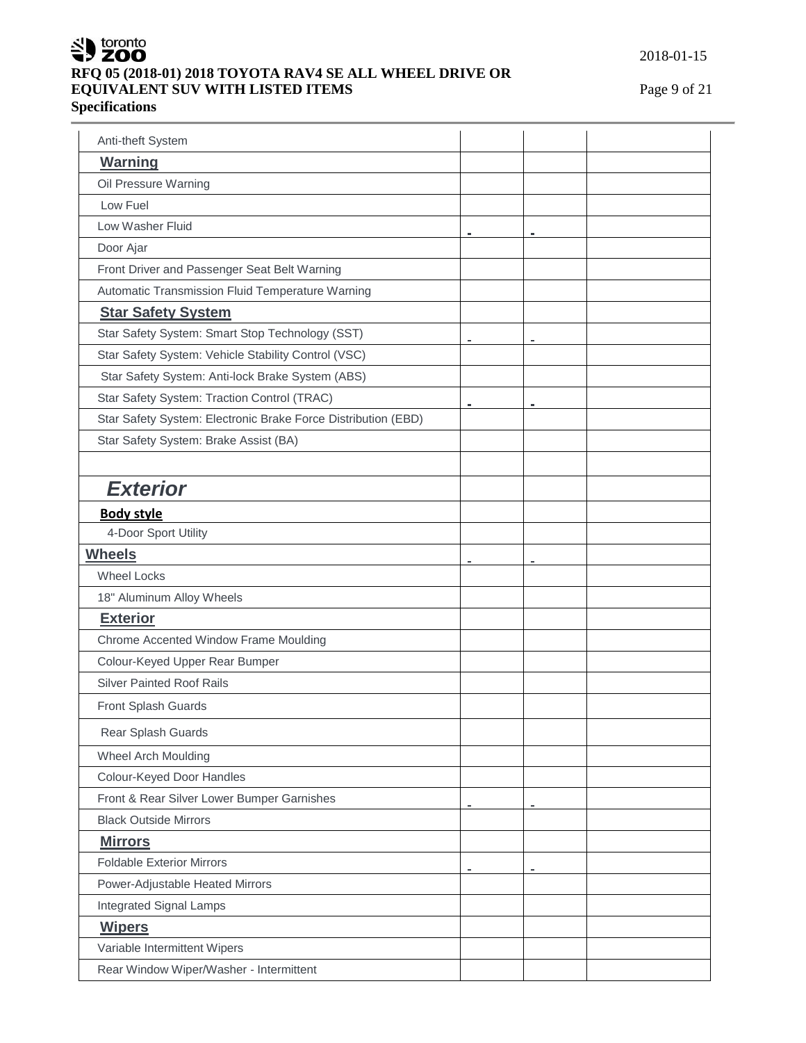

# **RFQ 05 (2018-01) 2018 TOYOTA RAV4 SE ALL WHEEL DRIVE OR EQUIVALENT SUV WITH LISTED ITEMS** Page 9 of 21 **Specifications**

2018-01-15

| Anti-theft System                                             |   |   |  |
|---------------------------------------------------------------|---|---|--|
| <b>Warning</b>                                                |   |   |  |
| Oil Pressure Warning                                          |   |   |  |
| Low Fuel                                                      |   |   |  |
| Low Washer Fluid                                              |   |   |  |
| Door Ajar                                                     |   |   |  |
| Front Driver and Passenger Seat Belt Warning                  |   |   |  |
| Automatic Transmission Fluid Temperature Warning              |   |   |  |
| <b>Star Safety System</b>                                     |   |   |  |
| Star Safety System: Smart Stop Technology (SST)               | ۰ |   |  |
| Star Safety System: Vehicle Stability Control (VSC)           |   |   |  |
| Star Safety System: Anti-lock Brake System (ABS)              |   |   |  |
| Star Safety System: Traction Control (TRAC)                   | ۰ | ÷ |  |
| Star Safety System: Electronic Brake Force Distribution (EBD) |   |   |  |
| Star Safety System: Brake Assist (BA)                         |   |   |  |
|                                                               |   |   |  |
| <b>Exterior</b>                                               |   |   |  |
| <b>Body style</b>                                             |   |   |  |
| 4-Door Sport Utility                                          |   |   |  |
| <b>Wheels</b>                                                 |   |   |  |
| <b>Wheel Locks</b>                                            |   |   |  |
| 18" Aluminum Alloy Wheels                                     |   |   |  |
| <b>Exterior</b>                                               |   |   |  |
| Chrome Accented Window Frame Moulding                         |   |   |  |
| Colour-Keyed Upper Rear Bumper                                |   |   |  |
| <b>Silver Painted Roof Rails</b>                              |   |   |  |
| Front Splash Guards                                           |   |   |  |
| Rear Splash Guards                                            |   |   |  |
| Wheel Arch Moulding                                           |   |   |  |
| Colour-Keyed Door Handles                                     |   |   |  |
| Front & Rear Silver Lower Bumper Garnishes                    | ۰ |   |  |
| <b>Black Outside Mirrors</b>                                  |   |   |  |
| <b>Mirrors</b>                                                |   |   |  |
| <b>Foldable Exterior Mirrors</b>                              |   |   |  |
| Power-Adjustable Heated Mirrors                               |   |   |  |
| <b>Integrated Signal Lamps</b>                                |   |   |  |
| <b>Wipers</b>                                                 |   |   |  |
| Variable Intermittent Wipers                                  |   |   |  |
| Rear Window Wiper/Washer - Intermittent                       |   |   |  |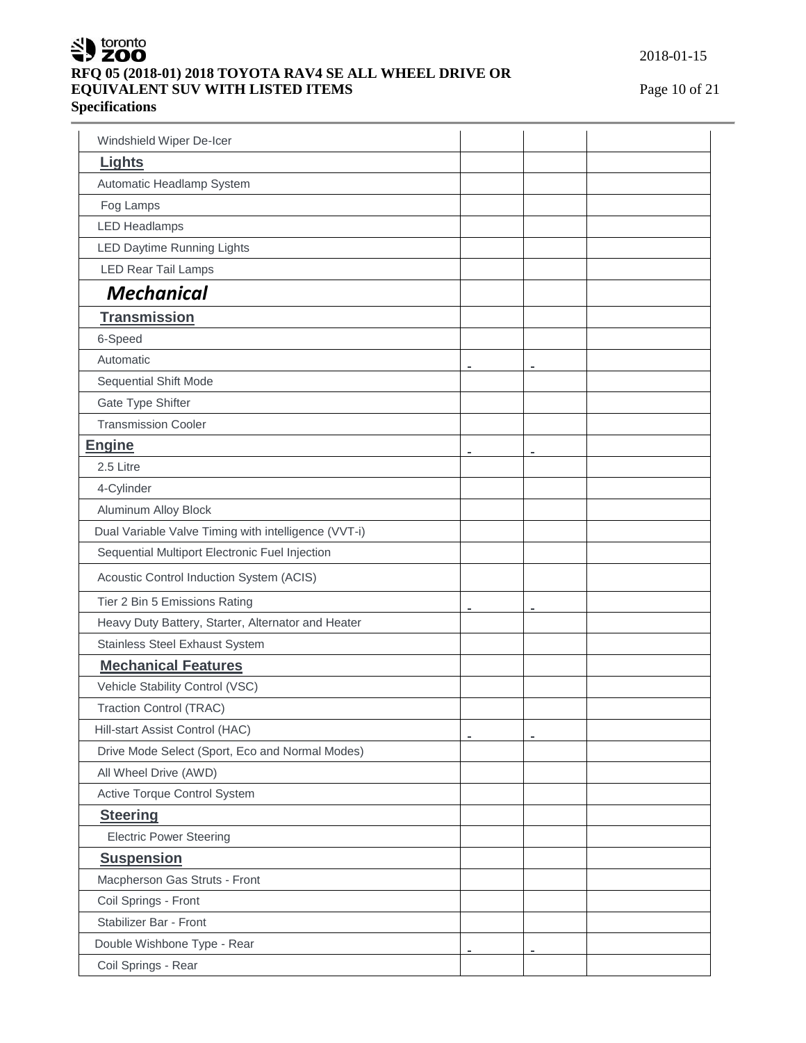

# **RFQ 05 (2018-01) 2018 TOYOTA RAV4 SE ALL WHEEL DRIVE OR EQUIVALENT SUV WITH LISTED ITEMS** Page 10 of 21

**Specifications**

| Windshield Wiper De-Icer                             |                |   |  |
|------------------------------------------------------|----------------|---|--|
| <b>Lights</b>                                        |                |   |  |
| Automatic Headlamp System                            |                |   |  |
| Fog Lamps                                            |                |   |  |
| <b>LED Headlamps</b>                                 |                |   |  |
| <b>LED Daytime Running Lights</b>                    |                |   |  |
| <b>LED Rear Tail Lamps</b>                           |                |   |  |
| <b>Mechanical</b>                                    |                |   |  |
| <b>Transmission</b>                                  |                |   |  |
| 6-Speed                                              |                |   |  |
| Automatic                                            |                |   |  |
| Sequential Shift Mode                                | $\blacksquare$ |   |  |
| Gate Type Shifter                                    |                |   |  |
| <b>Transmission Cooler</b>                           |                |   |  |
| <b>Engine</b>                                        |                |   |  |
| 2.5 Litre                                            |                |   |  |
| 4-Cylinder                                           |                |   |  |
| Aluminum Alloy Block                                 |                |   |  |
| Dual Variable Valve Timing with intelligence (VVT-i) |                |   |  |
| Sequential Multiport Electronic Fuel Injection       |                |   |  |
| Acoustic Control Induction System (ACIS)             |                |   |  |
| Tier 2 Bin 5 Emissions Rating                        |                |   |  |
| Heavy Duty Battery, Starter, Alternator and Heater   | $\blacksquare$ | ۰ |  |
| <b>Stainless Steel Exhaust System</b>                |                |   |  |
| <b>Mechanical Features</b>                           |                |   |  |
| Vehicle Stability Control (VSC)                      |                |   |  |
| <b>Traction Control (TRAC)</b>                       |                |   |  |
| Hill-start Assist Control (HAC)                      |                |   |  |
| Drive Mode Select (Sport, Eco and Normal Modes)      |                |   |  |
| All Wheel Drive (AWD)                                |                |   |  |
| Active Torque Control System                         |                |   |  |
| <b>Steering</b>                                      |                |   |  |
| <b>Electric Power Steering</b>                       |                |   |  |
| <b>Suspension</b>                                    |                |   |  |
| Macpherson Gas Struts - Front                        |                |   |  |
| Coil Springs - Front                                 |                |   |  |
| Stabilizer Bar - Front                               |                |   |  |
| Double Wishbone Type - Rear                          |                |   |  |
| Coil Springs - Rear                                  |                |   |  |
|                                                      |                |   |  |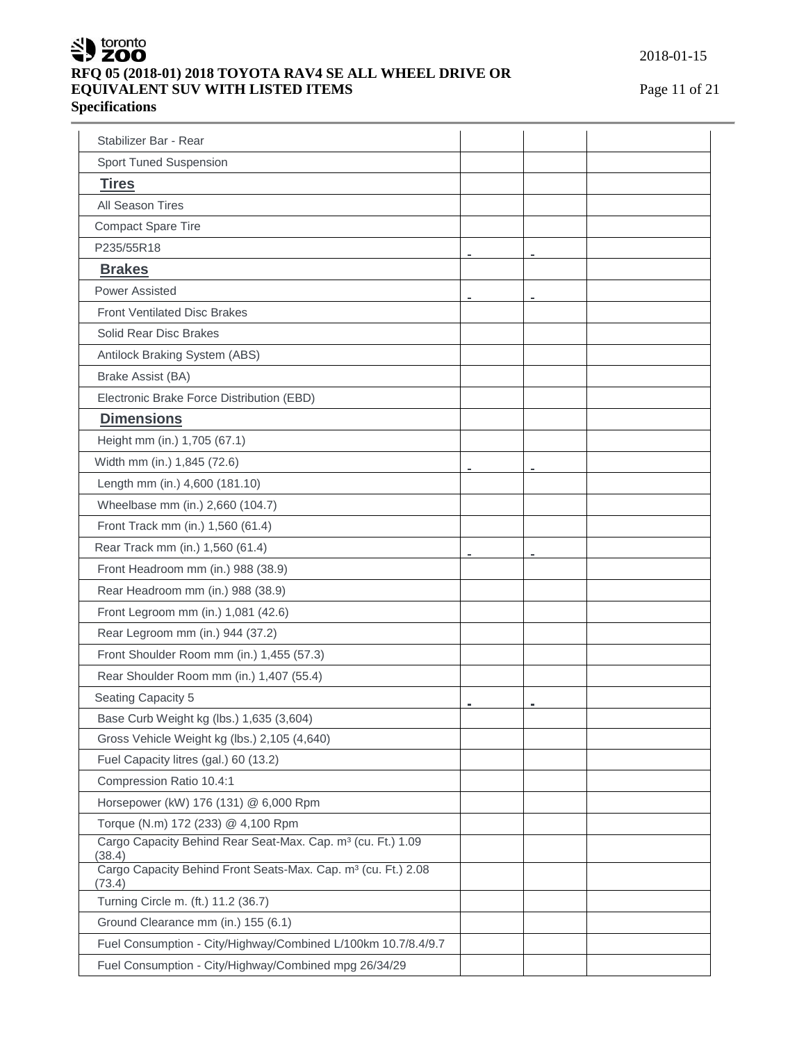

# **RFQ 05 (2018-01) 2018 TOYOTA RAV4 SE ALL WHEEL DRIVE OR EQUIVALENT SUV WITH LISTED ITEMS** Page 11 of 21 **Specifications**

2018-01-15

| Stabilizer Bar - Rear                                                               |                |  |
|-------------------------------------------------------------------------------------|----------------|--|
| <b>Sport Tuned Suspension</b>                                                       |                |  |
| <b>Tires</b>                                                                        |                |  |
| All Season Tires                                                                    |                |  |
| <b>Compact Spare Tire</b>                                                           |                |  |
| P235/55R18                                                                          | $\blacksquare$ |  |
| <b>Brakes</b>                                                                       |                |  |
| <b>Power Assisted</b>                                                               |                |  |
| <b>Front Ventilated Disc Brakes</b>                                                 |                |  |
| Solid Rear Disc Brakes                                                              |                |  |
| Antilock Braking System (ABS)                                                       |                |  |
| Brake Assist (BA)                                                                   |                |  |
| Electronic Brake Force Distribution (EBD)                                           |                |  |
| <b>Dimensions</b>                                                                   |                |  |
| Height mm (in.) 1,705 (67.1)                                                        |                |  |
| Width mm (in.) 1,845 (72.6)                                                         |                |  |
| Length mm (in.) 4,600 (181.10)                                                      |                |  |
| Wheelbase mm (in.) 2,660 (104.7)                                                    |                |  |
| Front Track mm (in.) 1,560 (61.4)                                                   |                |  |
| Rear Track mm (in.) 1,560 (61.4)                                                    |                |  |
| Front Headroom mm (in.) 988 (38.9)                                                  |                |  |
| Rear Headroom mm (in.) 988 (38.9)                                                   |                |  |
| Front Legroom mm (in.) 1,081 (42.6)                                                 |                |  |
| Rear Legroom mm (in.) 944 (37.2)                                                    |                |  |
| Front Shoulder Room mm (in.) 1,455 (57.3)                                           |                |  |
| Rear Shoulder Room mm (in.) 1,407 (55.4)                                            |                |  |
| Seating Capacity 5                                                                  |                |  |
| Base Curb Weight kg (lbs.) 1,635 (3,604)                                            |                |  |
| Gross Vehicle Weight kg (lbs.) 2,105 (4,640)                                        |                |  |
| Fuel Capacity litres (gal.) 60 (13.2)                                               |                |  |
| Compression Ratio 10.4:1                                                            |                |  |
| Horsepower (kW) 176 (131) @ 6,000 Rpm                                               |                |  |
| Torque (N.m) 172 (233) @ 4,100 Rpm                                                  |                |  |
| Cargo Capacity Behind Rear Seat-Max. Cap. m <sup>3</sup> (cu. Ft.) 1.09<br>(38.4)   |                |  |
| Cargo Capacity Behind Front Seats-Max. Cap. m <sup>3</sup> (cu. Ft.) 2.08<br>(73.4) |                |  |
| Turning Circle m. (ft.) 11.2 (36.7)                                                 |                |  |
| Ground Clearance mm (in.) 155 (6.1)                                                 |                |  |
| Fuel Consumption - City/Highway/Combined L/100km 10.7/8.4/9.7                       |                |  |
| Fuel Consumption - City/Highway/Combined mpg 26/34/29                               |                |  |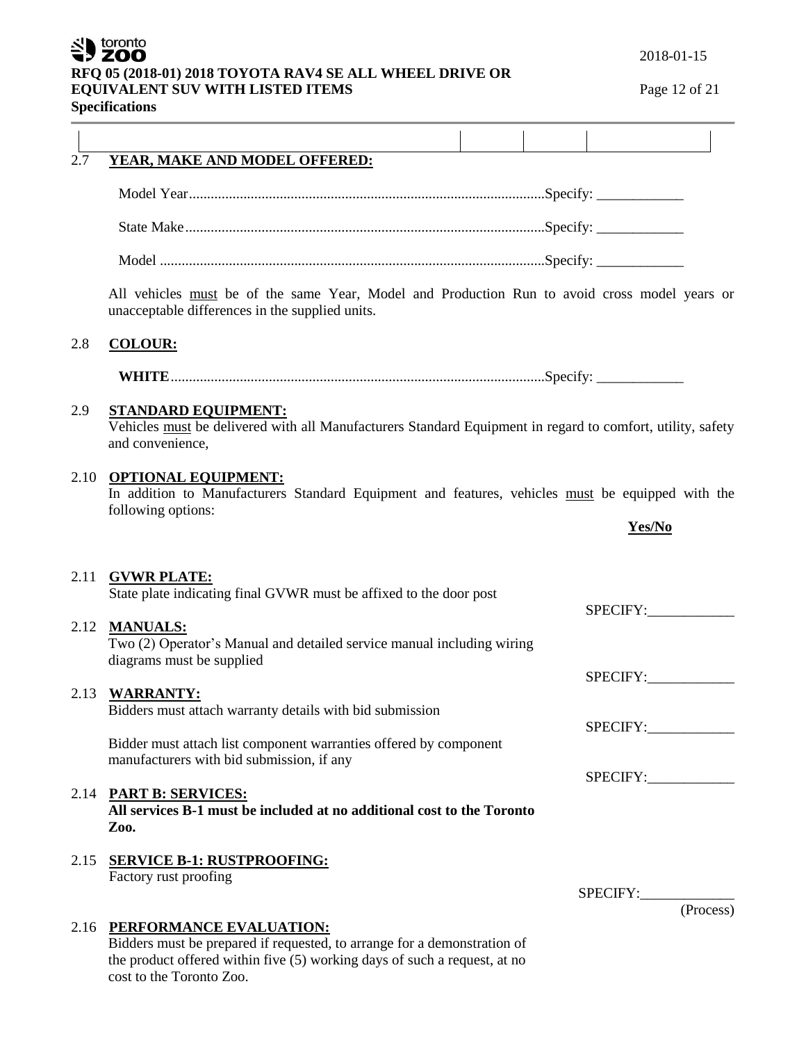# SU toronto

# **RFQ 05 (2018-01) 2018 TOYOTA RAV4 SE ALL WHEEL DRIVE OR**

**EQUIVALENT SUV WITH LISTED ITEMS** Page 12 of 21

**Specifications**

| 2.7          | YEAR, MAKE AND MODEL OFFERED:                                                                                                                                                                                     |                    |
|--------------|-------------------------------------------------------------------------------------------------------------------------------------------------------------------------------------------------------------------|--------------------|
|              |                                                                                                                                                                                                                   |                    |
|              |                                                                                                                                                                                                                   |                    |
|              |                                                                                                                                                                                                                   |                    |
|              |                                                                                                                                                                                                                   |                    |
|              | All vehicles must be of the same Year, Model and Production Run to avoid cross model years or<br>unacceptable differences in the supplied units.                                                                  |                    |
| 2.8          | <b>COLOUR:</b>                                                                                                                                                                                                    |                    |
|              |                                                                                                                                                                                                                   |                    |
| 2.9          | <b>STANDARD EQUIPMENT:</b><br>Vehicles must be delivered with all Manufacturers Standard Equipment in regard to comfort, utility, safety<br>and convenience,                                                      |                    |
| 2.10         | <b>OPTIONAL EQUIPMENT:</b><br>In addition to Manufacturers Standard Equipment and features, vehicles must be equipped with the                                                                                    |                    |
|              | following options:                                                                                                                                                                                                | Yes/No             |
| 2.11<br>2.12 | <b>GVWR PLATE:</b><br>State plate indicating final GVWR must be affixed to the door post<br><b>MANUALS:</b>                                                                                                       | SPECIFY:           |
|              | Two (2) Operator's Manual and detailed service manual including wiring<br>diagrams must be supplied                                                                                                               |                    |
| 2.13         | <b>WARRANTY:</b>                                                                                                                                                                                                  | SPECIFY:           |
|              | Bidders must attach warranty details with bid submission                                                                                                                                                          | SPECIFY:           |
|              | Bidder must attach list component warranties offered by component<br>manufacturers with bid submission, if any                                                                                                    |                    |
|              |                                                                                                                                                                                                                   | SPECIFY:           |
| 2.14         | <b>PART B: SERVICES:</b><br>All services B-1 must be included at no additional cost to the Toronto<br>Zoo.                                                                                                        |                    |
| 2.15         | <b>SERVICE B-1: RUSTPROOFING:</b>                                                                                                                                                                                 |                    |
|              | Factory rust proofing                                                                                                                                                                                             |                    |
|              |                                                                                                                                                                                                                   | SPECIFY: (Process) |
|              | 2.16 PERFORMANCE EVALUATION:<br>Bidders must be prepared if requested, to arrange for a demonstration of<br>the product offered within five (5) working days of such a request, at no<br>cost to the Toronto Zoo. |                    |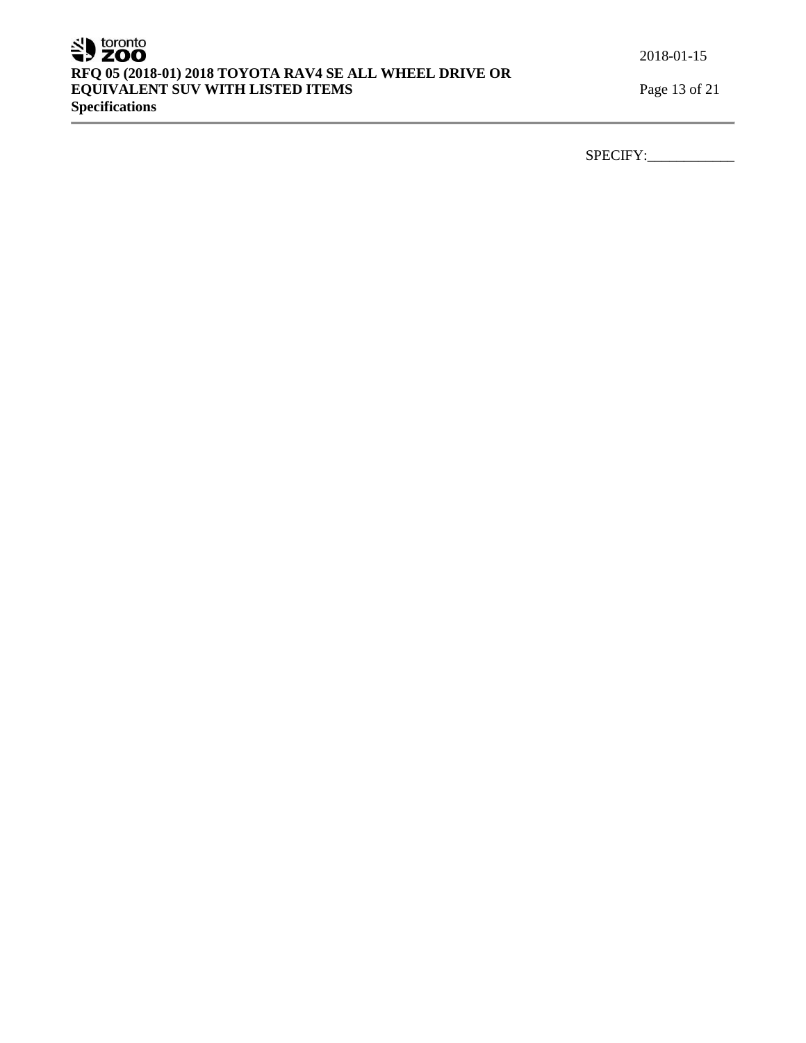# SU toronto **RFQ 05 (2018-01) 2018 TOYOTA RAV4 SE ALL WHEEL DRIVE OR EQUIVALENT SUV WITH LISTED ITEMS** Page 13 of 21 **Specifications**

2018-01-15

SPECIFY:\_\_\_\_\_\_\_\_\_\_\_\_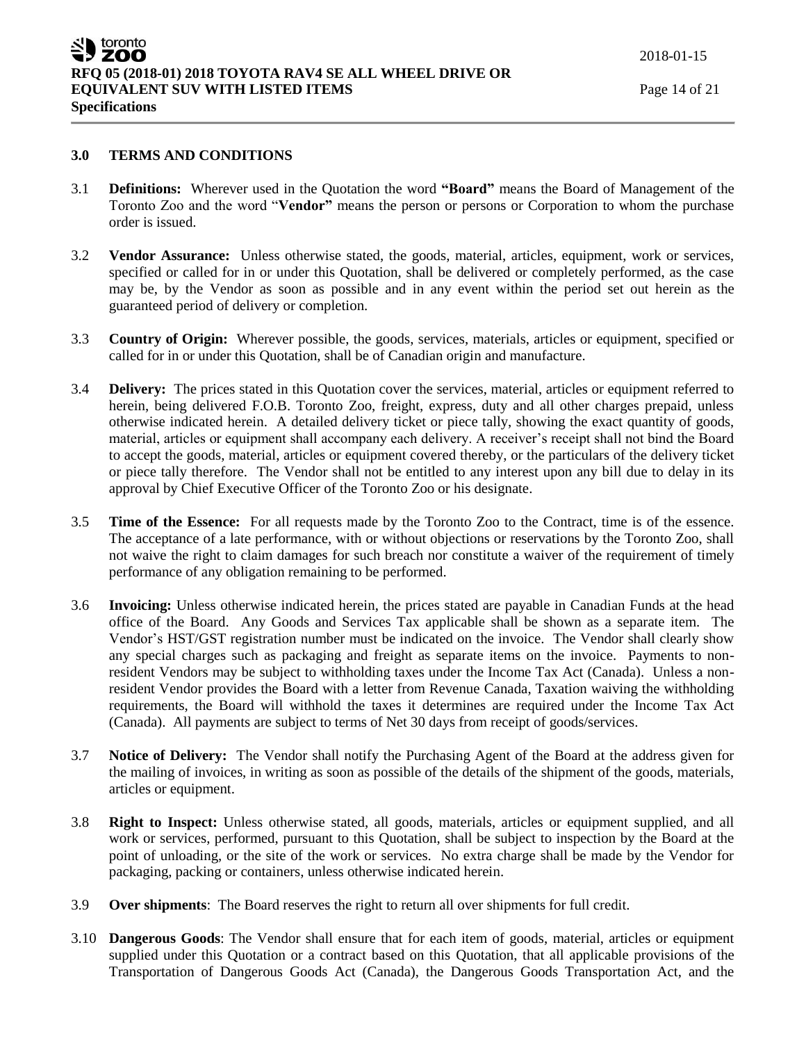#### **3.0 TERMS AND CONDITIONS**

- 3.1 **Definitions:** Wherever used in the Quotation the word **"Board"** means the Board of Management of the Toronto Zoo and the word "**Vendor"** means the person or persons or Corporation to whom the purchase order is issued.
- 3.2 **Vendor Assurance:** Unless otherwise stated, the goods, material, articles, equipment, work or services, specified or called for in or under this Quotation, shall be delivered or completely performed, as the case may be, by the Vendor as soon as possible and in any event within the period set out herein as the guaranteed period of delivery or completion.
- 3.3 **Country of Origin:** Wherever possible, the goods, services, materials, articles or equipment, specified or called for in or under this Quotation, shall be of Canadian origin and manufacture.
- 3.4 **Delivery:** The prices stated in this Quotation cover the services, material, articles or equipment referred to herein, being delivered F.O.B. Toronto Zoo, freight, express, duty and all other charges prepaid, unless otherwise indicated herein. A detailed delivery ticket or piece tally, showing the exact quantity of goods, material, articles or equipment shall accompany each delivery. A receiver's receipt shall not bind the Board to accept the goods, material, articles or equipment covered thereby, or the particulars of the delivery ticket or piece tally therefore. The Vendor shall not be entitled to any interest upon any bill due to delay in its approval by Chief Executive Officer of the Toronto Zoo or his designate.
- 3.5 **Time of the Essence:** For all requests made by the Toronto Zoo to the Contract, time is of the essence. The acceptance of a late performance, with or without objections or reservations by the Toronto Zoo, shall not waive the right to claim damages for such breach nor constitute a waiver of the requirement of timely performance of any obligation remaining to be performed.
- 3.6 **Invoicing:** Unless otherwise indicated herein, the prices stated are payable in Canadian Funds at the head office of the Board. Any Goods and Services Tax applicable shall be shown as a separate item. The Vendor's HST/GST registration number must be indicated on the invoice. The Vendor shall clearly show any special charges such as packaging and freight as separate items on the invoice. Payments to nonresident Vendors may be subject to withholding taxes under the Income Tax Act (Canada). Unless a nonresident Vendor provides the Board with a letter from Revenue Canada, Taxation waiving the withholding requirements, the Board will withhold the taxes it determines are required under the Income Tax Act (Canada). All payments are subject to terms of Net 30 days from receipt of goods/services.
- 3.7 **Notice of Delivery:** The Vendor shall notify the Purchasing Agent of the Board at the address given for the mailing of invoices, in writing as soon as possible of the details of the shipment of the goods, materials, articles or equipment.
- 3.8 **Right to Inspect:** Unless otherwise stated, all goods, materials, articles or equipment supplied, and all work or services, performed, pursuant to this Quotation, shall be subject to inspection by the Board at the point of unloading, or the site of the work or services. No extra charge shall be made by the Vendor for packaging, packing or containers, unless otherwise indicated herein.
- 3.9 **Over shipments**: The Board reserves the right to return all over shipments for full credit.
- 3.10 **Dangerous Goods**: The Vendor shall ensure that for each item of goods, material, articles or equipment supplied under this Quotation or a contract based on this Quotation, that all applicable provisions of the Transportation of Dangerous Goods Act (Canada), the Dangerous Goods Transportation Act, and the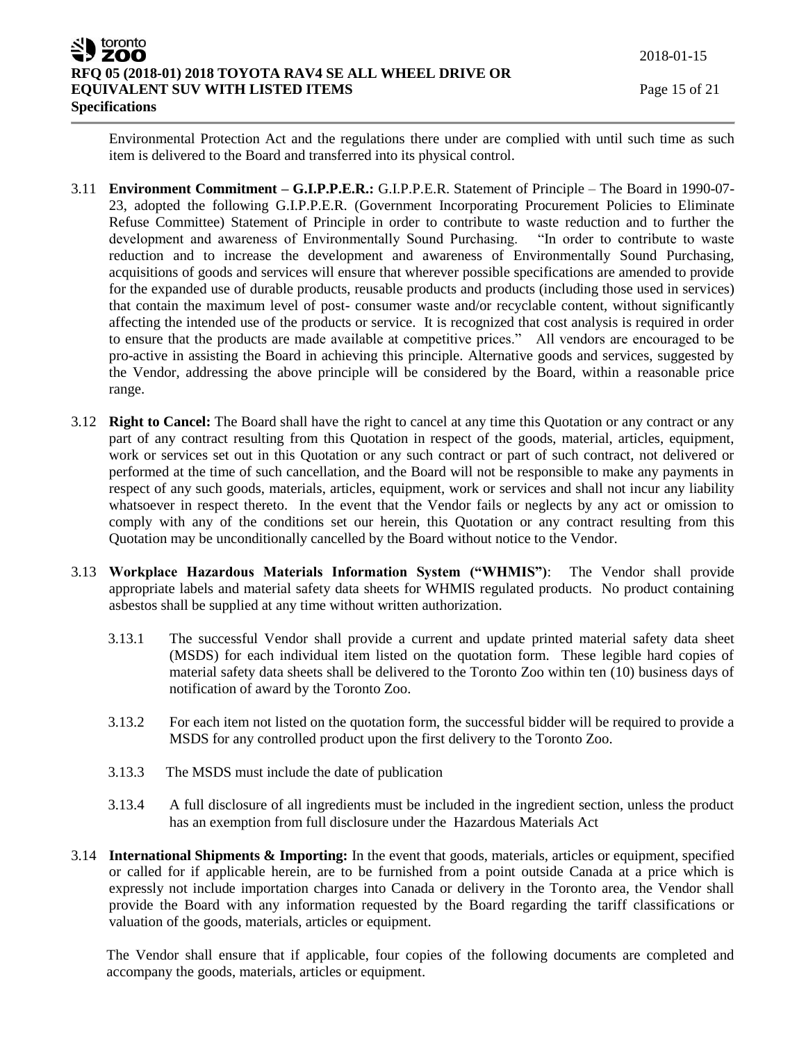Environmental Protection Act and the regulations there under are complied with until such time as such item is delivered to the Board and transferred into its physical control.

- 3.11 **Environment Commitment – G.I.P.P.E.R.:** G.I.P.P.E.R. Statement of Principle The Board in 1990-07- 23, adopted the following G.I.P.P.E.R. (Government Incorporating Procurement Policies to Eliminate Refuse Committee) Statement of Principle in order to contribute to waste reduction and to further the development and awareness of Environmentally Sound Purchasing. "In order to contribute to waste reduction and to increase the development and awareness of Environmentally Sound Purchasing, acquisitions of goods and services will ensure that wherever possible specifications are amended to provide for the expanded use of durable products, reusable products and products (including those used in services) that contain the maximum level of post- consumer waste and/or recyclable content, without significantly affecting the intended use of the products or service. It is recognized that cost analysis is required in order to ensure that the products are made available at competitive prices." All vendors are encouraged to be pro-active in assisting the Board in achieving this principle. Alternative goods and services, suggested by the Vendor, addressing the above principle will be considered by the Board, within a reasonable price range.
- 3.12 **Right to Cancel:** The Board shall have the right to cancel at any time this Quotation or any contract or any part of any contract resulting from this Quotation in respect of the goods, material, articles, equipment, work or services set out in this Quotation or any such contract or part of such contract, not delivered or performed at the time of such cancellation, and the Board will not be responsible to make any payments in respect of any such goods, materials, articles, equipment, work or services and shall not incur any liability whatsoever in respect thereto. In the event that the Vendor fails or neglects by any act or omission to comply with any of the conditions set our herein, this Quotation or any contract resulting from this Quotation may be unconditionally cancelled by the Board without notice to the Vendor.
- 3.13 **Workplace Hazardous Materials Information System ("WHMIS")**: The Vendor shall provide appropriate labels and material safety data sheets for WHMIS regulated products. No product containing asbestos shall be supplied at any time without written authorization.
	- 3.13.1 The successful Vendor shall provide a current and update printed material safety data sheet (MSDS) for each individual item listed on the quotation form. These legible hard copies of material safety data sheets shall be delivered to the Toronto Zoo within ten (10) business days of notification of award by the Toronto Zoo.
	- 3.13.2 For each item not listed on the quotation form, the successful bidder will be required to provide a MSDS for any controlled product upon the first delivery to the Toronto Zoo.
	- 3.13.3 The MSDS must include the date of publication
	- 3.13.4 A full disclosure of all ingredients must be included in the ingredient section, unless the product has an exemption from full disclosure under the Hazardous Materials Act
- 3.14 **International Shipments & Importing:** In the event that goods, materials, articles or equipment, specified or called for if applicable herein, are to be furnished from a point outside Canada at a price which is expressly not include importation charges into Canada or delivery in the Toronto area, the Vendor shall provide the Board with any information requested by the Board regarding the tariff classifications or valuation of the goods, materials, articles or equipment.

The Vendor shall ensure that if applicable, four copies of the following documents are completed and accompany the goods, materials, articles or equipment.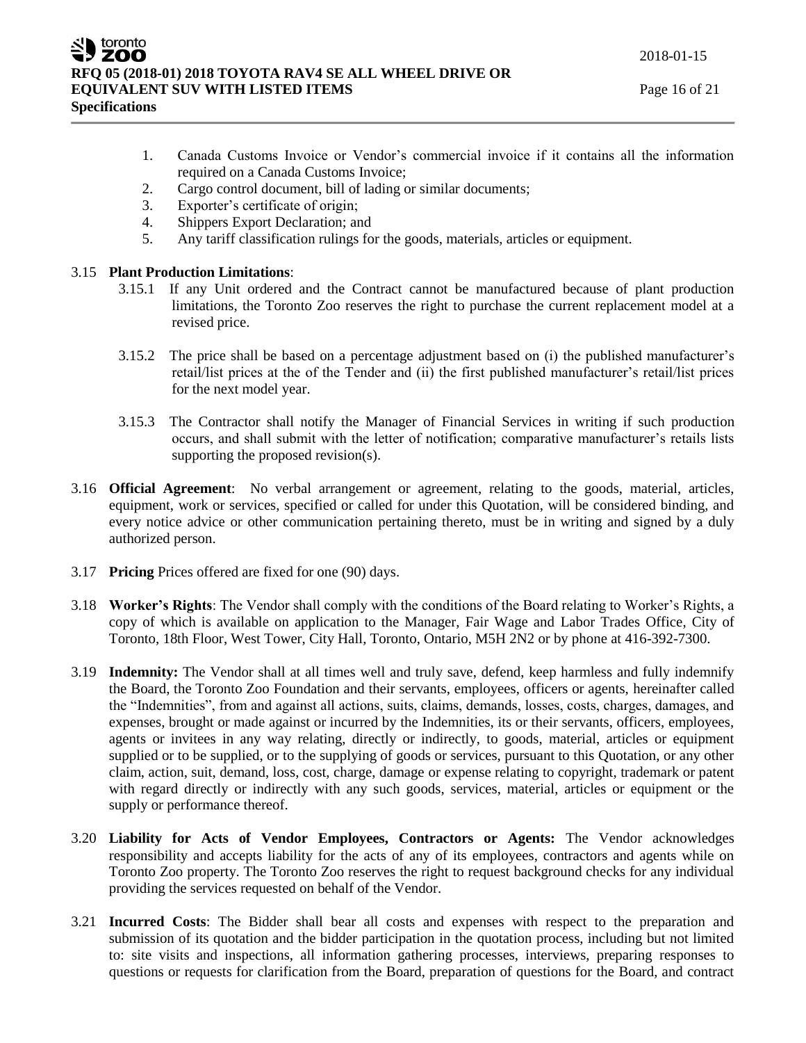- 1. Canada Customs Invoice or Vendor's commercial invoice if it contains all the information required on a Canada Customs Invoice;
- 2. Cargo control document, bill of lading or similar documents;
- 3. Exporter's certificate of origin;
- 4. Shippers Export Declaration; and
- 5. Any tariff classification rulings for the goods, materials, articles or equipment.

# 3.15 **Plant Production Limitations**:

- 3.15.1 If any Unit ordered and the Contract cannot be manufactured because of plant production limitations, the Toronto Zoo reserves the right to purchase the current replacement model at a revised price.
- 3.15.2 The price shall be based on a percentage adjustment based on (i) the published manufacturer's retail/list prices at the of the Tender and (ii) the first published manufacturer's retail/list prices for the next model year.
- 3.15.3 The Contractor shall notify the Manager of Financial Services in writing if such production occurs, and shall submit with the letter of notification; comparative manufacturer's retails lists supporting the proposed revision(s).
- 3.16 **Official Agreement**: No verbal arrangement or agreement, relating to the goods, material, articles, equipment, work or services, specified or called for under this Quotation, will be considered binding, and every notice advice or other communication pertaining thereto, must be in writing and signed by a duly authorized person.
- 3.17 **Pricing** Prices offered are fixed for one (90) days.
- 3.18 **Worker's Rights**: The Vendor shall comply with the conditions of the Board relating to Worker's Rights, a copy of which is available on application to the Manager, Fair Wage and Labor Trades Office, City of Toronto, 18th Floor, West Tower, City Hall, Toronto, Ontario, M5H 2N2 or by phone at 416-392-7300.
- 3.19 **Indemnity:** The Vendor shall at all times well and truly save, defend, keep harmless and fully indemnify the Board, the Toronto Zoo Foundation and their servants, employees, officers or agents, hereinafter called the "Indemnities", from and against all actions, suits, claims, demands, losses, costs, charges, damages, and expenses, brought or made against or incurred by the Indemnities, its or their servants, officers, employees, agents or invitees in any way relating, directly or indirectly, to goods, material, articles or equipment supplied or to be supplied, or to the supplying of goods or services, pursuant to this Quotation, or any other claim, action, suit, demand, loss, cost, charge, damage or expense relating to copyright, trademark or patent with regard directly or indirectly with any such goods, services, material, articles or equipment or the supply or performance thereof.
- 3.20 **Liability for Acts of Vendor Employees, Contractors or Agents:** The Vendor acknowledges responsibility and accepts liability for the acts of any of its employees, contractors and agents while on Toronto Zoo property. The Toronto Zoo reserves the right to request background checks for any individual providing the services requested on behalf of the Vendor.
- 3.21 **Incurred Costs**: The Bidder shall bear all costs and expenses with respect to the preparation and submission of its quotation and the bidder participation in the quotation process, including but not limited to: site visits and inspections, all information gathering processes, interviews, preparing responses to questions or requests for clarification from the Board, preparation of questions for the Board, and contract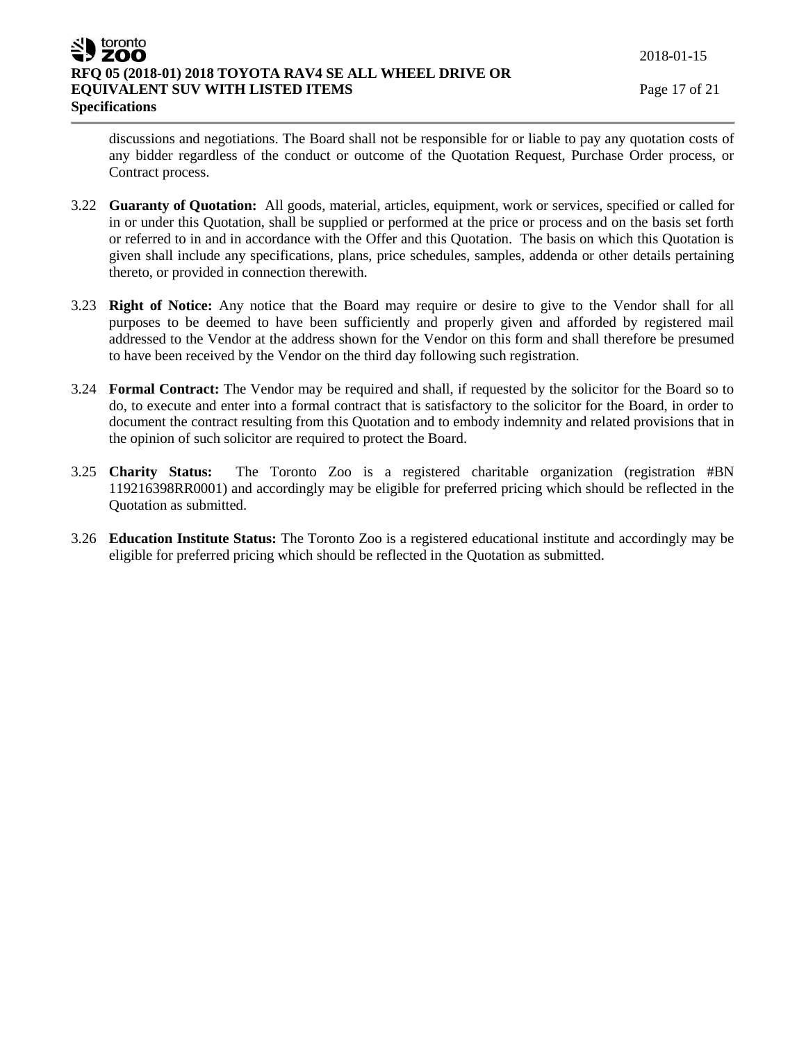discussions and negotiations. The Board shall not be responsible for or liable to pay any quotation costs of any bidder regardless of the conduct or outcome of the Quotation Request, Purchase Order process, or Contract process.

- 3.22 **Guaranty of Quotation:** All goods, material, articles, equipment, work or services, specified or called for in or under this Quotation, shall be supplied or performed at the price or process and on the basis set forth or referred to in and in accordance with the Offer and this Quotation. The basis on which this Quotation is given shall include any specifications, plans, price schedules, samples, addenda or other details pertaining thereto, or provided in connection therewith.
- 3.23 **Right of Notice:** Any notice that the Board may require or desire to give to the Vendor shall for all purposes to be deemed to have been sufficiently and properly given and afforded by registered mail addressed to the Vendor at the address shown for the Vendor on this form and shall therefore be presumed to have been received by the Vendor on the third day following such registration.
- 3.24 **Formal Contract:** The Vendor may be required and shall, if requested by the solicitor for the Board so to do, to execute and enter into a formal contract that is satisfactory to the solicitor for the Board, in order to document the contract resulting from this Quotation and to embody indemnity and related provisions that in the opinion of such solicitor are required to protect the Board.
- 3.25 **Charity Status:** The Toronto Zoo is a registered charitable organization (registration #BN 119216398RR0001) and accordingly may be eligible for preferred pricing which should be reflected in the Quotation as submitted.
- 3.26 **Education Institute Status:** The Toronto Zoo is a registered educational institute and accordingly may be eligible for preferred pricing which should be reflected in the Quotation as submitted.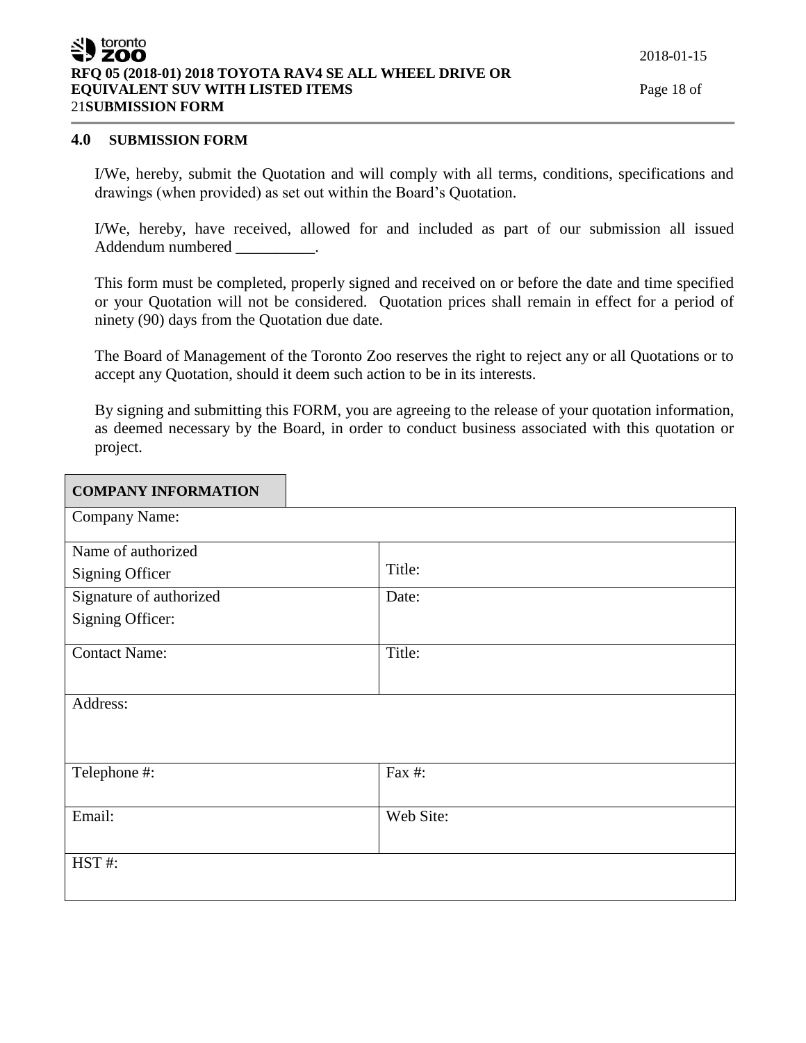# **4.0 SUBMISSION FORM**

Г

I/We, hereby, submit the Quotation and will comply with all terms, conditions, specifications and drawings (when provided) as set out within the Board's Quotation.

I/We, hereby, have received, allowed for and included as part of our submission all issued Addendum numbered and the set of the set of the set of the set of the set of the set of the set of the set of the set of the set of the set of the set of the set of the set of the set of the set of the set of the set of th

This form must be completed, properly signed and received on or before the date and time specified or your Quotation will not be considered. Quotation prices shall remain in effect for a period of ninety (90) days from the Quotation due date.

The Board of Management of the Toronto Zoo reserves the right to reject any or all Quotations or to accept any Quotation, should it deem such action to be in its interests.

By signing and submitting this FORM, you are agreeing to the release of your quotation information, as deemed necessary by the Board, in order to conduct business associated with this quotation or project.

| <b>COMPANY INFORMATION</b> |           |
|----------------------------|-----------|
| Company Name:              |           |
| Name of authorized         |           |
| <b>Signing Officer</b>     | Title:    |
| Signature of authorized    | Date:     |
| Signing Officer:           |           |
| <b>Contact Name:</b>       | Title:    |
| Address:                   |           |
| Telephone #:               | Fax #:    |
| Email:                     | Web Site: |
| HST#:                      |           |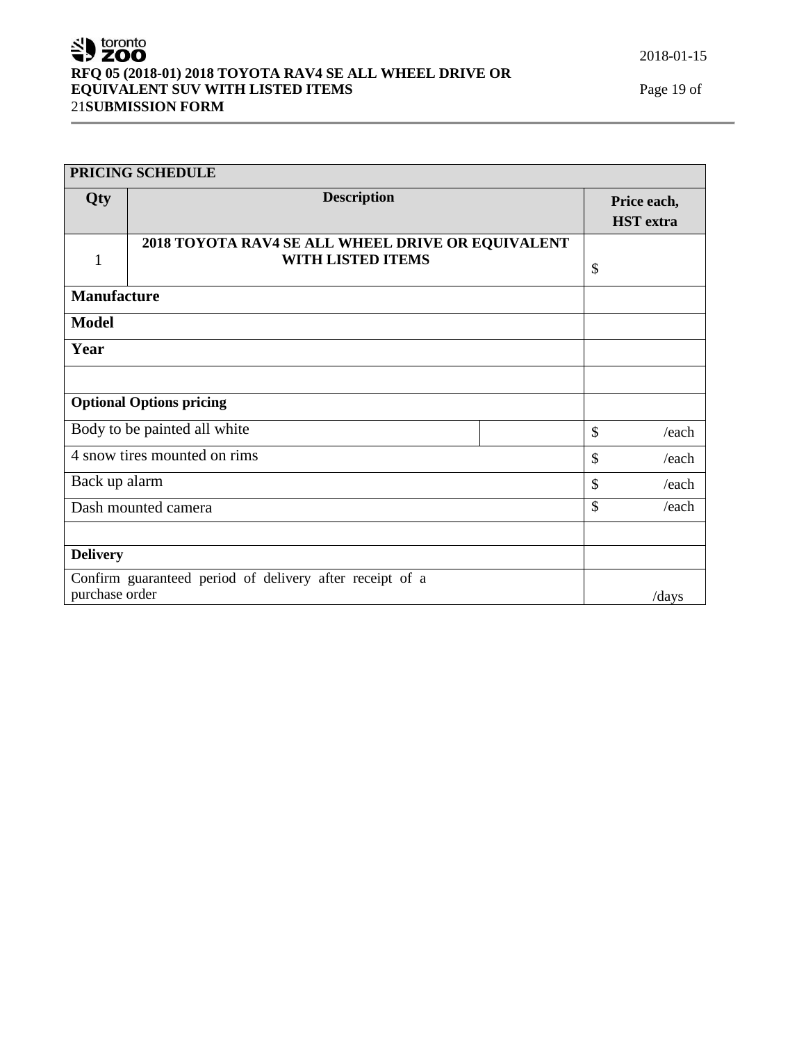SU toronto **RFQ 05 (2018-01) 2018 TOYOTA RAV4 SE ALL WHEEL DRIVE OR EQUIVALENT SUV WITH LISTED ITEMS** Page 19 of 21**SUBMISSION FORM**

| PRICING SCHEDULE             |                                                                               |    |                           |                                 |
|------------------------------|-------------------------------------------------------------------------------|----|---------------------------|---------------------------------|
| Qty                          | <b>Description</b>                                                            |    |                           | Price each,<br><b>HST</b> extra |
| $\mathbf{1}$                 | 2018 TOYOTA RAV4 SE ALL WHEEL DRIVE OR EQUIVALENT<br><b>WITH LISTED ITEMS</b> |    | $\boldsymbol{\mathsf{S}}$ |                                 |
| <b>Manufacture</b>           |                                                                               |    |                           |                                 |
| <b>Model</b>                 |                                                                               |    |                           |                                 |
| Year                         |                                                                               |    |                           |                                 |
|                              |                                                                               |    |                           |                                 |
|                              | <b>Optional Options pricing</b>                                               |    |                           |                                 |
|                              | Body to be painted all white                                                  |    | $\mathcal{S}$             | /each                           |
| 4 snow tires mounted on rims |                                                                               | \$ | /each                     |                                 |
| Back up alarm                |                                                                               |    | $\mathcal{S}$             | /each                           |
|                              | Dash mounted camera                                                           |    | $\mathcal{S}$             | /each                           |
|                              |                                                                               |    |                           |                                 |
| <b>Delivery</b>              |                                                                               |    |                           |                                 |
| purchase order               | Confirm guaranteed period of delivery after receipt of a                      |    |                           | /days                           |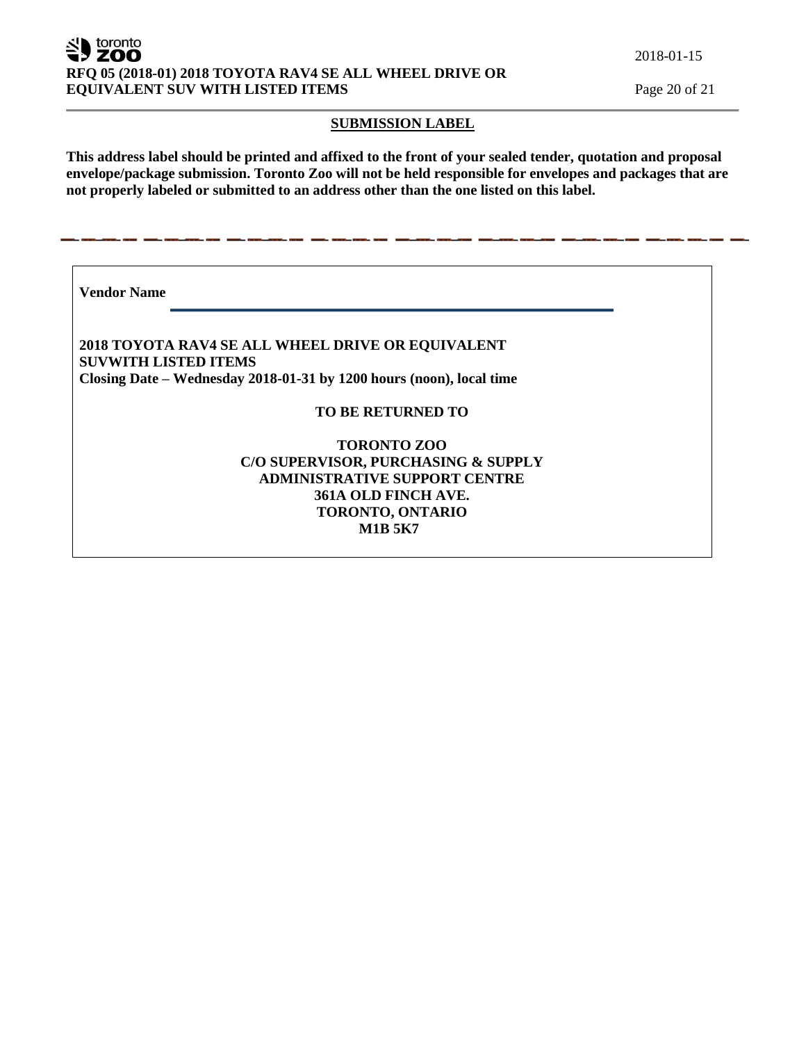#### toronto ZOO **RFQ 05 (2018-01) 2018 TOYOTA RAV4 SE ALL WHEEL DRIVE OR EQUIVALENT SUV WITH LISTED ITEMS** Page 20 of 21

#### **SUBMISSION LABEL**

**This address label should be printed and affixed to the front of your sealed tender, quotation and proposal envelope/package submission. Toronto Zoo will not be held responsible for envelopes and packages that are not properly labeled or submitted to an address other than the one listed on this label.**

**Vendor Name** 

**2018 TOYOTA RAV4 SE ALL WHEEL DRIVE OR EQUIVALENT SUVWITH LISTED ITEMS Closing Date – Wednesday 2018-01-31 by 1200 hours (noon), local time**

<u>an ang taong ang pagpagay ang t</u>

**TO BE RETURNED TO**

**TORONTO ZOO C/O SUPERVISOR, PURCHASING & SUPPLY ADMINISTRATIVE SUPPORT CENTRE 361A OLD FINCH AVE. TORONTO, ONTARIO M1B 5K7**